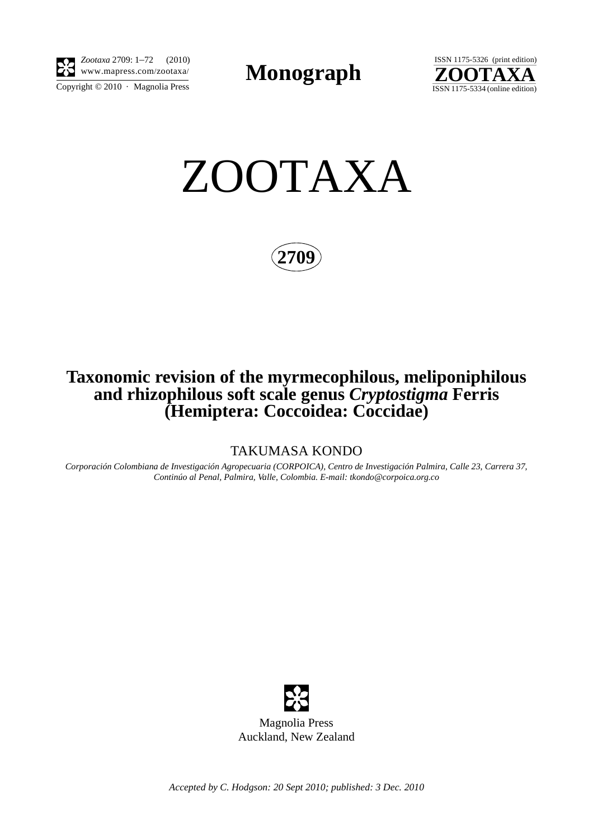

Copyright  $\odot$  2010 · Magnolia Press *Zootaxa* 2709: 1–72 (2010) www.mapress.com/zootaxa/ **Monograph**



ZOOTAXA

**2709**

## **Taxonomic revision of the myrmecophilous, meliponiphilous and rhizophilous soft scale genus** *Cryptostigma* **Ferris (Hemiptera: Coccoidea: Coccidae)**

TAKUMASA KONDO

*Corporación Colombiana de Investigación Agropecuaria (CORPOICA), Centro de Investigación Palmira, Calle 23, Carrera 37, Continúo al Penal, Palmira, Valle, Colombia. E-mail: tkondo@corpoica.org.co*



Magnolia Press Auckland, New Zealand

*Accepted by C. Hodgson: 20 Sept 2010; published: 3 Dec. 2010*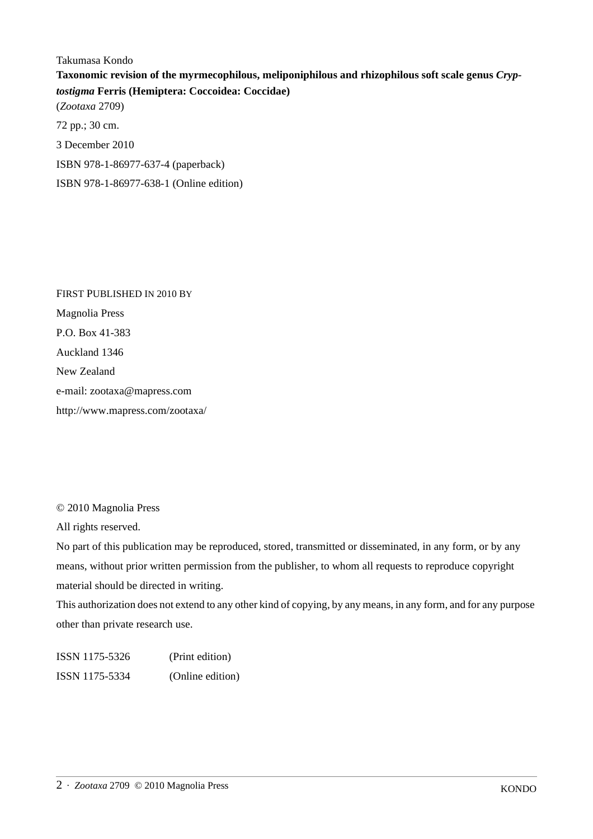Takumasa Kondo **Taxonomic revision of the myrmecophilous, meliponiphilous and rhizophilous soft scale genus** *Cryptostigma* **Ferris (Hemiptera: Coccoidea: Coccidae)** (*Zootaxa* 2709) 72 pp.; 30 cm. 3 December 2010 ISBN 978-1-86977-637-4 (paperback) ISBN 978-1-86977-638-1 (Online edition)

FIRST PUBLISHED IN 2010 BY Magnolia Press P.O. Box 41-383 Auckland 1346 New Zealand e-mail: zootaxa@mapress.com http://www.mapress.com/zootaxa/

© 2010 Magnolia Press

All rights reserved.

No part of this publication may be reproduced, stored, transmitted or disseminated, in any form, or by any means, without prior written permission from the publisher, to whom all requests to reproduce copyright material should be directed in writing.

This authorization does not extend to any other kind of copying, by any means, in any form, and for any purpose other than private research use.

ISSN 1175-5326 (Print edition) ISSN 1175-5334 (Online edition)